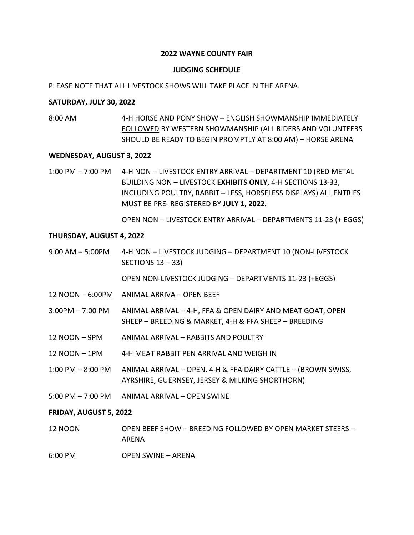# **2022 WAYNE COUNTY FAIR**

#### **JUDGING SCHEDULE**

#### PLEASE NOTE THAT ALL LIVESTOCK SHOWS WILL TAKE PLACE IN THE ARENA.

#### **SATURDAY, JULY 30, 2022**

8:00 AM 4-H HORSE AND PONY SHOW – ENGLISH SHOWMANSHIP IMMEDIATELY FOLLOWED BY WESTERN SHOWMANSHIP (ALL RIDERS AND VOLUNTEERS SHOULD BE READY TO BEGIN PROMPTLY AT 8:00 AM) – HORSE ARENA

# **WEDNESDAY, AUGUST 3, 2022**

1:00 PM – 7:00 PM 4-H NON – LIVESTOCK ENTRY ARRIVAL – DEPARTMENT 10 (RED METAL BUILDING NON – LIVESTOCK **EXHIBITS ONLY**, 4-H SECTIONS 13-33, INCLUDING POULTRY, RABBIT – LESS, HORSELESS DISPLAYS) ALL ENTRIES MUST BE PRE- REGISTERED BY **JULY 1, 2022.** 

OPEN NON – LIVESTOCK ENTRY ARRIVAL – DEPARTMENTS 11-23 (+ EGGS)

#### **THURSDAY, AUGUST 4, 2022**

9:00 AM – 5:00PM 4-H NON – LIVESTOCK JUDGING – DEPARTMENT 10 (NON-LIVESTOCK SECTIONS 13 – 33)

OPEN NON-LIVESTOCK JUDGING – DEPARTMENTS 11-23 (+EGGS)

- 12 NOON 6:00PM ANIMAL ARRIVA OPEN BEEF
- 3:00PM 7:00 PM ANIMAL ARRIVAL 4-H, FFA & OPEN DAIRY AND MEAT GOAT, OPEN SHEEP – BREEDING & MARKET, 4-H & FFA SHEEP – BREEDING
- 12 NOON 9PM ANIMAL ARRIVAL RABBITS AND POULTRY
- 12 NOON 1PM 4-H MEAT RABBIT PEN ARRIVAL AND WEIGH IN
- 1:00 PM 8:00 PM ANIMAL ARRIVAL OPEN, 4-H & FFA DAIRY CATTLE (BROWN SWISS, AYRSHIRE, GUERNSEY, JERSEY & MILKING SHORTHORN)
- 5:00 PM 7:00 PM ANIMAL ARRIVAL OPEN SWINE

#### **FRIDAY, AUGUST 5, 2022**

- 12 NOON OPEN BEEF SHOW BREEDING FOLLOWED BY OPEN MARKET STEERS ARENA
- 6:00 PM OPEN SWINE ARENA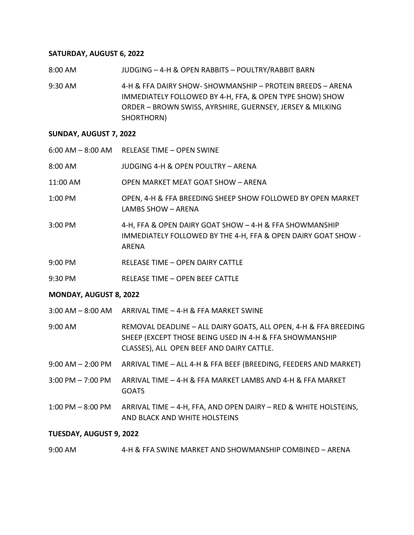### **SATURDAY, AUGUST 6, 2022**

8:00 AM JUDGING – 4-H & OPEN RABBITS – POULTRY/RABBIT BARN

9:30 AM 4-H & FFA DAIRY SHOW- SHOWMANSHIP – PROTEIN BREEDS – ARENA IMMEDIATELY FOLLOWED BY 4-H, FFA, & OPEN TYPE SHOW) SHOW ORDER – BROWN SWISS, AYRSHIRE, GUERNSEY, JERSEY & MILKING SHORTHORN)

# **SUNDAY, AUGUST 7, 2022**

|          | 6:00 AM - 8:00 AM RELEASE TIME - OPEN SWINE                                                                                       |
|----------|-----------------------------------------------------------------------------------------------------------------------------------|
| 8:00 AM  | JUDGING 4-H & OPEN POULTRY - ARENA                                                                                                |
| 11:00 AM | <b>OPEN MARKET MEAT GOAT SHOW - ARENA</b>                                                                                         |
| 1:00 PM  | OPEN, 4-H & FFA BREEDING SHEEP SHOW FOLLOWED BY OPEN MARKET<br>LAMBS SHOW - ARENA                                                 |
| 3:00 PM  | 4-H, FFA & OPEN DAIRY GOAT SHOW - 4-H & FFA SHOWMANSHIP<br>IMMEDIATELY FOLLOWED BY THE 4-H, FFA & OPEN DAIRY GOAT SHOW -<br>ARENA |
| 9:00 PM  | RELEASE TIME - OPEN DAIRY CATTLE                                                                                                  |
| 9:30 PM  | RELEASE TIME - OPEN BEEF CATTLE                                                                                                   |
|          |                                                                                                                                   |

#### **MONDAY, AUGUST 8, 2022**

3:00 AM – 8:00 AM ARRIVAL TIME – 4-H & FFA MARKET SWINE

9:00 AM REMOVAL DEADLINE – ALL DAIRY GOATS, ALL OPEN, 4-H & FFA BREEDING SHEEP (EXCEPT THOSE BEING USED IN 4-H & FFA SHOWMANSHIP CLASSES), ALL OPEN BEEF AND DAIRY CATTLE.

- 9:00 AM 2:00 PM ARRIVAL TIME ALL 4-H & FFA BEEF (BREEDING, FEEDERS AND MARKET)
- 3:00 PM 7:00 PM ARRIVAL TIME 4-H & FFA MARKET LAMBS AND 4-H & FFA MARKET **GOATS**
- 1:00 PM 8:00 PM ARRIVAL TIME 4-H, FFA, AND OPEN DAIRY RED & WHITE HOLSTEINS, AND BLACK AND WHITE HOLSTEINS

# **TUESDAY, AUGUST 9, 2022**

# 9:00 AM 4-H & FFA SWINE MARKET AND SHOWMANSHIP COMBINED – ARENA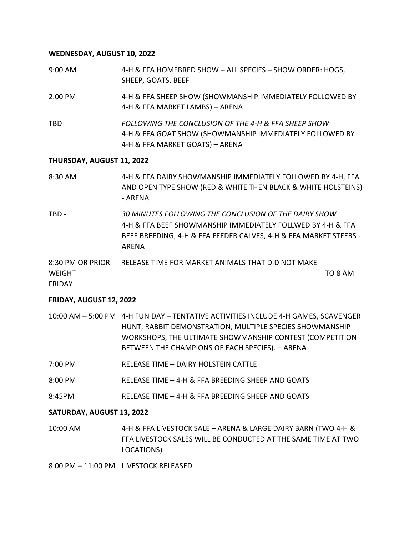## **WEDNESDAY, AUGUST 10, 2022**

9:00 AM 4-H & FFA HOMEBRED SHOW – ALL SPECIES – SHOW ORDER: HOGS, SHEEP, GOATS, BEEF 2:00 PM 4-H & FFA SHEEP SHOW (SHOWMANSHIP IMMEDIATELY FOLLOWED BY 4-H & FFA MARKET LAMBS) – ARENA TBD *FOLLOWING THE CONCLUSION OF THE 4-H & FFA SHEEP SHOW*  4-H & FFA GOAT SHOW (SHOWMANSHIP IMMEDIATELY FOLLOWED BY 4-H & FFA MARKET GOATS) – ARENA

#### **THURSDAY, AUGUST 11, 2022**

- 8:30 AM 4-H & FFA DAIRY SHOWMANSHIP IMMEDIATELY FOLLOWED BY 4-H, FFA AND OPEN TYPE SHOW (RED & WHITE THEN BLACK & WHITE HOLSTEINS) - ARENA
- TBD *30 MINUTES FOLLOWING THE CONCLUSION OF THE DAIRY SHOW* 4-H & FFA BEEF SHOWMANSHIP IMMEDIATELY FOLLWED BY 4-H & FFA BEEF BREEDING, 4-H & FFA FEEDER CALVES, 4-H & FFA MARKET STEERS - ARENA
- 8:30 PM OR PRIOR RELEASE TIME FOR MARKET ANIMALS THAT DID NOT MAKE WEIGHT **THE INSTITUTE OF A SET OF A SET OF A SET OF A SET OF A SET OF A SET OF A SET OF A SET OF A SET OF A SET OF A SET OF A SET OF A SET OF A SET OF A SET OF A SET OF A SET OF A SET OF A SET OF A SET OF A SET OF A SET OF** FRIDAY

# **FRIDAY, AUGUST 12, 2022**

- 10:00 AM 5:00 PM 4-H FUN DAY TENTATIVE ACTIVITIES INCLUDE 4-H GAMES, SCAVENGER HUNT, RABBIT DEMONSTRATION, MULTIPLE SPECIES SHOWMANSHIP WORKSHOPS, THE ULTIMATE SHOWMANSHIP CONTEST (COMPETITION BETWEEN THE CHAMPIONS OF EACH SPECIES). – ARENA
- 7:00 PM RELEASE TIME DAIRY HOLSTEIN CATTLE
- 8:00 PM RELEASE TIME 4-H & FFA BREEDING SHEEP AND GOATS
- 8:45PM RELEASE TIME 4-H & FFA BREEDING SHEEP AND GOATS

#### **SATURDAY, AUGUST 13, 2022**

10:00 AM 4-H & FFA LIVESTOCK SALE – ARENA & LARGE DAIRY BARN (TWO 4-H & FFA LIVESTOCK SALES WILL BE CONDUCTED AT THE SAME TIME AT TWO LOCATIONS)

8:00 PM – 11:00 PM LIVESTOCK RELEASED